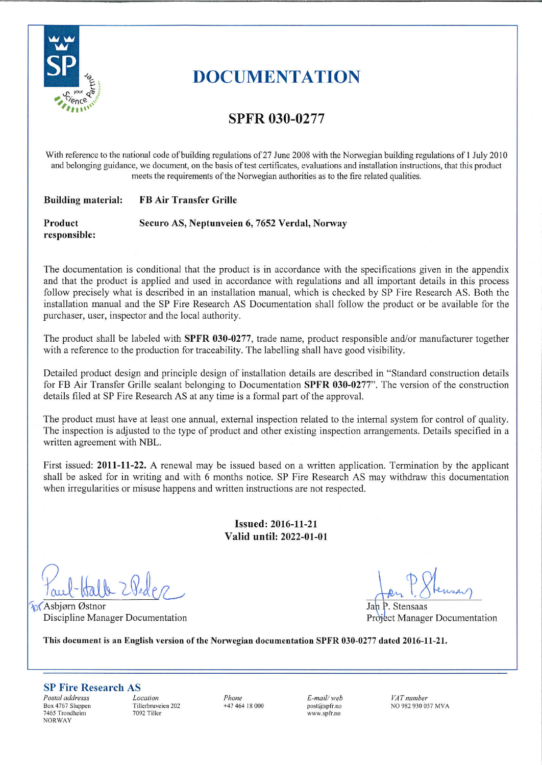

# **DOCUMENTATION**

## **SPFR 030-0277**

With reference to the national code of building regulations of 27 June 2008 with the Norwegian building regulations of 1 July 2010 and belonging guidance, we document, on the basis of test certificates, evaluations and installation instructions, that this product meets the requirements of the Norwegian authorities as to the fire related qualities.

#### **Building material: FB Air Transfer Grille**

Product Securo AS, Neptunveien 6, 7652 Verdal, Norway responsible:

The documentation is conditional that the product is in accordance with the specifications given in the appendix and that the product is applied and used in accordance with regulations and all important details in this process follow precisely what is described in an installation manual, which is checked by SP Fire Research AS. Both the installation manual and the SP Fire Research AS Documentation shall follow the product or be available for the purchaser, user, inspector and the local authority.

The product shall be labeled with SPFR 030-0277, trade name, product responsible and/or manufacturer together with a reference to the production for traceability. The labelling shall have good visibility.

Detailed product design and principle design of installation details are described in "Standard construction details for FB Air Transfer Grille sealant belonging to Documentation SPFR 030-0277". The version of the construction details filed at SP Fire Research AS at any time is a formal part of the approval.

The product must have at least one annual, external inspection related to the internal system for control of quality. The inspection is adjusted to the type of product and other existing inspection arrangements. Details specified in a written agreement with NBL.

First issued: 2011-11-22. A renewal may be issued based on a written application. Termination by the applicant shall be asked for in writing and with 6 months notice. SP Fire Research AS may withdraw this documentation when irregularities or misuse happens and written instructions are not respected.

> **Issued: 2016-11-21** Valid until: 2022-01-01

**N** Asbjørn Østnor Discipline Manager Documentation

P. Stensaas Project Manager Documentation

This document is an English version of the Norwegian documentation SPFR 030-0277 dated 2016-11-21.

#### **SP Fire Research AS**

Postal addresss Box 4767 Sluppen 7465 Trondheim **NORWAY** 

Location Tillerbruveien 202 7092 Tiller

Phone  $+4746418000$   $E$ -mail/web  $post(\widehat{\omega}$ spfr.no www.spfr.no

VAT number NO 982 930 057 MVA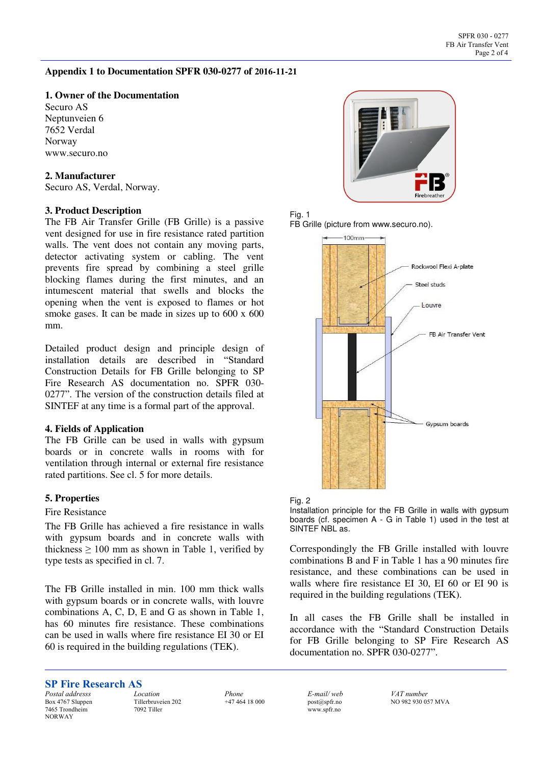#### **Appendix 1 to Documentation SPFR 030-0277 of 2016-11-21**

#### **1. Owner of the Documentation**

Securo AS Neptunveien 6 7652 Verdal Norway www.securo.no

#### **2. Manufacturer**

Securo AS, Verdal, Norway.

#### **3. Product Description**

The FB Air Transfer Grille (FB Grille) is a passive vent designed for use in fire resistance rated partition walls. The vent does not contain any moving parts, detector activating system or cabling. The vent prevents fire spread by combining a steel grille blocking flames during the first minutes, and an intumescent material that swells and blocks the opening when the vent is exposed to flames or hot smoke gases. It can be made in sizes up to 600 x 600 mm.

Detailed product design and principle design of installation details are described in "Standard Construction Details for FB Grille belonging to SP Fire Research AS documentation no. SPFR 030- 0277". The version of the construction details filed at SINTEF at any time is a formal part of the approval.

#### **4. Fields of Application**

The FB Grille can be used in walls with gypsum boards or in concrete walls in rooms with for ventilation through internal or external fire resistance rated partitions. See cl. 5 for more details.

#### **5. Properties**

#### Fire Resistance

The FB Grille has achieved a fire resistance in walls with gypsum boards and in concrete walls with thickness  $\geq 100$  mm as shown in Table 1, verified by type tests as specified in cl. 7.

The FB Grille installed in min. 100 mm thick walls with gypsum boards or in concrete walls, with louvre combinations A, C, D, E and G as shown in Table 1, has 60 minutes fire resistance. These combinations can be used in walls where fire resistance EI 30 or EI 60 is required in the building regulations (TEK).









Installation principle for the FB Grille in walls with gypsum boards (cf. specimen A - G in Table 1) used in the test at SINTEF NBL as.

Correspondingly the FB Grille installed with louvre combinations B and F in Table 1 has a 90 minutes fire resistance, and these combinations can be used in walls where fire resistance EI 30, EI 60 or EI 90 is required in the building regulations (TEK).

In all cases the FB Grille shall be installed in accordance with the "Standard Construction Details for FB Grille belonging to SP Fire Research AS documentation no. SPFR 030-0277".

#### **SP Fire Research AS**

*Postal addresss*  Box 4767 Sluppen 7465 Trondheim NORWAY

*Location*  Tillerbruveien 202 7092 Tiller

*Phone*  +47 464 18 000 *E-mail/ web*  post@spfr.no www.spfr.no

*VAT number*  NO 982 930 057 MVA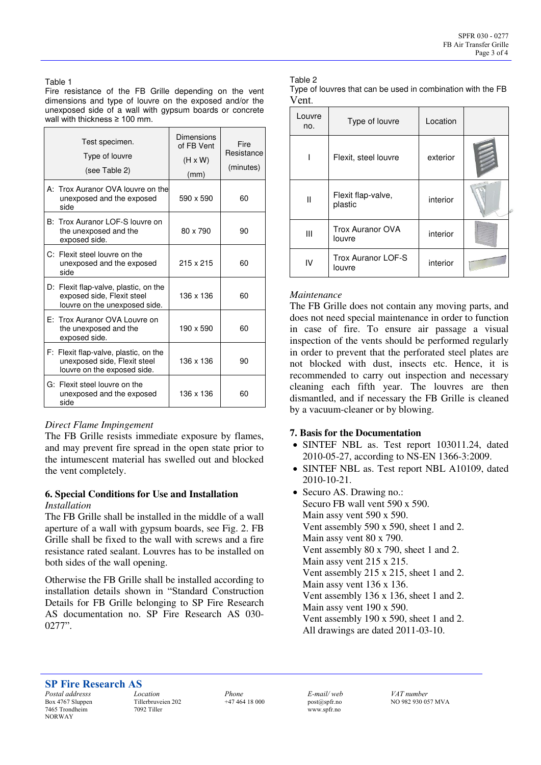Table 1

Fire resistance of the FB Grille depending on the vent dimensions and type of louvre on the exposed and/or the unexposed side of a wall with gypsum boards or concrete wall with thickness ≥ 100 mm.

| Test specimen.<br>Type of louvre<br>(see Table 2)                                                    | Dimensions<br>of FB Vent<br>$(H \times W)$<br>(mm) | Fire<br>Resistance<br>(minutes) |
|------------------------------------------------------------------------------------------------------|----------------------------------------------------|---------------------------------|
| A: Trox Auranor OVA louvre on the<br>unexposed and the exposed<br>side                               | 590 x 590                                          | 60                              |
| B: Trox Auranor LOF-S louvre on<br>the unexposed and the<br>exposed side.                            | 80 x 790                                           | 90                              |
| C: Flexit steel louvre on the<br>unexposed and the exposed<br>side                                   | 215 x 215                                          | 60                              |
| D: Flexit flap-valve, plastic, on the<br>exposed side, Flexit steel<br>louvre on the unexposed side. | 136 x 136                                          | 60                              |
| E: Trox Auranor OVA Louvre on<br>the unexposed and the<br>exposed side.                              | 190 x 590                                          | 60                              |
| F: Flexit flap-valve, plastic, on the<br>unexposed side, Flexit steel<br>louvre on the exposed side. | 136 x 136                                          | 90                              |
| G: Flexit steel louvre on the<br>unexposed and the exposed<br>side                                   | 136 x 136                                          | 60                              |

#### *Direct Flame Impingement*

The FB Grille resists immediate exposure by flames, and may prevent fire spread in the open state prior to the intumescent material has swelled out and blocked the vent completely.

#### **6. Special Conditions for Use and Installation**  *Installation*

The FB Grille shall be installed in the middle of a wall aperture of a wall with gypsum boards, see Fig. 2. FB Grille shall be fixed to the wall with screws and a fire resistance rated sealant. Louvres has to be installed on both sides of the wall opening.

Otherwise the FB Grille shall be installed according to installation details shown in "Standard Construction Details for FB Grille belonging to SP Fire Research AS documentation no. SP Fire Research AS 030-  $0277"$ 

#### Table 2

| Type of louvres that can be used in combination with the FB |  |
|-------------------------------------------------------------|--|
| Vent.                                                       |  |

| Louvre<br>no. | Type of louvre                | Location |  |  |  |  |
|---------------|-------------------------------|----------|--|--|--|--|
|               | Flexit, steel louvre          | exterior |  |  |  |  |
| Ш             | Flexit flap-valve,<br>plastic | interior |  |  |  |  |
| Ш             | Trox Auranor OVA<br>louvre    | interior |  |  |  |  |
| IV            | Trox Auranor LOF-S<br>louvre  | interior |  |  |  |  |

#### *Maintenance*

The FB Grille does not contain any moving parts, and does not need special maintenance in order to function in case of fire. To ensure air passage a visual inspection of the vents should be performed regularly in order to prevent that the perforated steel plates are not blocked with dust, insects etc. Hence, it is recommended to carry out inspection and necessary cleaning each fifth year. The louvres are then dismantled, and if necessary the FB Grille is cleaned by a vacuum-cleaner or by blowing.

#### **7. Basis for the Documentation**

- SINTEF NBL as. Test report 103011.24, dated 2010-05-27, according to NS-EN 1366-3:2009.
- SINTEF NBL as. Test report NBL A10109, dated 2010-10-21.
- Securo AS. Drawing no.: Securo FB wall vent 590 x 590. Main assy vent 590 x 590. Vent assembly 590 x 590, sheet 1 and 2. Main assy vent 80 x 790. Vent assembly 80 x 790, sheet 1 and 2. Main assy vent 215 x 215. Vent assembly 215 x 215, sheet 1 and 2. Main assy vent 136 x 136. Vent assembly 136 x 136, sheet 1 and 2. Main assy vent 190 x 590. Vent assembly 190 x 590, sheet 1 and 2. All drawings are dated 2011-03-10.

#### **SP Fire Research AS**

*Postal addresss*  Box 4767 Sluppen 7465 Trondheim NORWAY

*Location*  Tillerbruveien 202 7092 Tiller

*Phone*  +47 464 18 000 *E-mail/ web*  post@spfr.no www.spfr.no

*VAT number*  NO 982 930 057 MVA